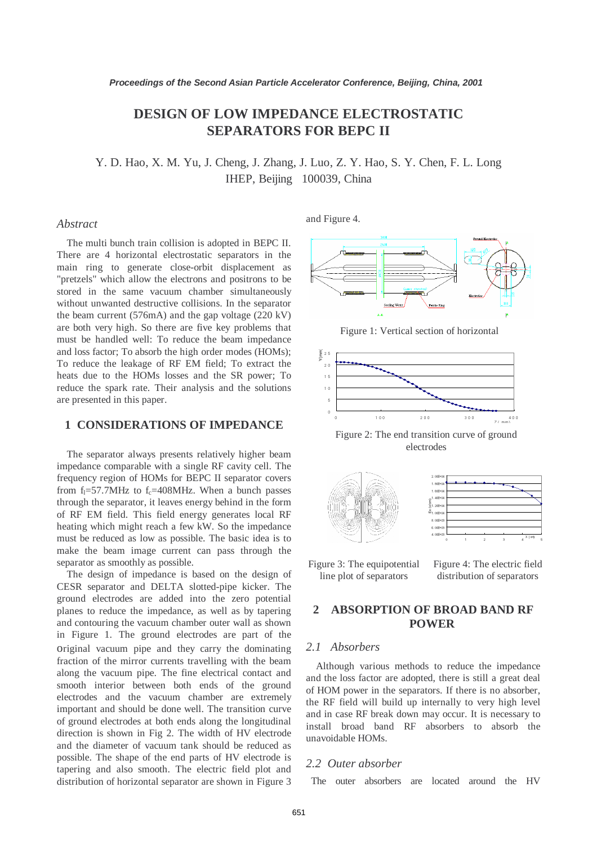# **DESIGN OF LOW IMPEDANCE ELECTROSTATIC SEPARATORS FOR BEPC II**

Y. D. Hao, X. M. Yu, J. Cheng, J. Zhang, J. Luo, Z. Y. Hao, S. Y. Chen, F. L. Long IHEP, Beijing 100039, China

#### *Abstract*

The multi bunch train collision is adopted in BEPC II. There are 4 horizontal electrostatic separators in the main ring to generate close-orbit displacement as "pretzels" which allow the electrons and positrons to be stored in the same vacuum chamber simultaneously without unwanted destructive collisions. In the separator the beam current (576mA) and the gap voltage (220 kV) are both very high. So there are five key problems that must be handled well: To reduce the beam impedance and loss factor; To absorb the high order modes (HOMs); To reduce the leakage of RF EM field; To extract the heats due to the HOMs losses and the SR power; To reduce the spark rate. Their analysis and the solutions are presented in this paper.

## **1 CONSIDERATIONS OF IMPEDANCE**

The separator always presents relatively higher beam impedance comparable with a single RF cavity cell. The frequency region of HOMs for BEPC II separator covers from  $f_1 = 57.7$ MHz to  $f_c = 408$ MHz. When a bunch passes through the separator, it leaves energy behind in the form of RF EM field. This field energy generates local RF heating which might reach a few kW. So the impedance must be reduced as low as possible. The basic idea is to make the beam image current can pass through the separator as smoothly as possible.

The design of impedance is based on the design of CESR separator and DELTA slotted-pipe kicker. The ground electrodes are added into the zero potential planes to reduce the impedance, as well as by tapering and contouring the vacuum chamber outer wall as shown in Figure 1. The ground electrodes are part of the original vacuum pipe and they carry the dominating fraction of the mirror currents travelling with the beam along the vacuum pipe. The fine electrical contact and smooth interior between both ends of the ground electrodes and the vacuum chamber are extremely important and should be done well. The transition curve of ground electrodes at both ends along the longitudinal direction is shown in Fig 2. The width of HV electrode and the diameter of vacuum tank should be reduced as possible. The shape of the end parts of HV electrode is tapering and also smooth. The electric field plot and distribution of horizontal separator are shown in Figure 3 and Figure 4.



Figure 1: Vertical section of horizontal



Figure 2: The end transition curve of ground electrodes





Figure 3: The equipotential line plot of separators

Figure 4: The electric field distribution of separators

## **2 ABSORPTION OF BROAD BAND RF POWER**

### *2.1 Absorbers*

Although various methods to reduce the impedance and the loss factor are adopted, there is still a great deal of HOM power in the separators. If there is no absorber, the RF field will build up internally to very high level and in case RF break down may occur. It is necessary to install broad band RF absorbers to absorb the unavoidable HOMs.

#### *2.2 Outer absorber*

The outer absorbers are located around the HV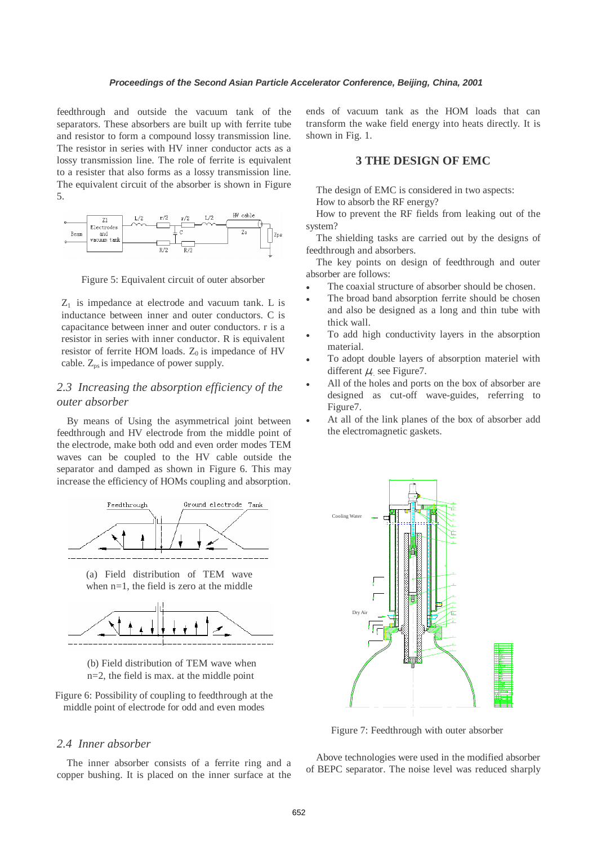feedthrough and outside the vacuum tank of the separators. These absorbers are built up with ferrite tube and resistor to form a compound lossy transmission line. The resistor in series with HV inner conductor acts as a lossy transmission line. The role of ferrite is equivalent to a resister that also forms as a lossy transmission line. The equivalent circuit of the absorber is shown in Figure 5.



Figure 5: Equivalent circuit of outer absorber

 $Z_1$  is impedance at electrode and vacuum tank. L is inductance between inner and outer conductors. C is capacitance between inner and outer conductors. r is a resistor in series with inner conductor. R is equivalent resistor of ferrite HOM loads.  $Z_0$  is impedance of HV cable.  $Z_{ps}$  is impedance of power supply.

# *2.3 Increasing the absorption efficiency of the outer absorber*

By means of Using the asymmetrical joint between feedthrough and HV electrode from the middle point of the electrode, make both odd and even order modes TEM waves can be coupled to the HV cable outside the separator and damped as shown in Figure 6. This may increase the efficiency of HOMs coupling and absorption.



(a) Field distribution of TEM wave when n=1, the field is zero at the middle





Figure 6: Possibility of coupling to feedthrough at the middle point of electrode for odd and even modes

#### *2.4 Inner absorber*

The inner absorber consists of a ferrite ring and a copper bushing. It is placed on the inner surface at the ends of vacuum tank as the HOM loads that can transform the wake field energy into heats directly. It is shown in Fig. 1.

### **3 THE DESIGN OF EMC**

The design of EMC is considered in two aspects:

How to absorb the RF energy?

How to prevent the RF fields from leaking out of the system?

The shielding tasks are carried out by the designs of feedthrough and absorbers.

The key points on design of feedthrough and outer absorber are follows:

- The coaxial structure of absorber should be chosen.
- The broad band absorption ferrite should be chosen and also be designed as a long and thin tube with thick wall.
- To add high conductivity layers in the absorption material.
- To adopt double layers of absorption materiel with different  $\mu_r$  see Figure 7.
- All of the holes and ports on the box of absorber are designed as cut-off wave-guides, referring to Figure7.
- At all of the link planes of the box of absorber add the electromagnetic gaskets.



Figure 7: Feedthrough with outer absorber

Above technologies were used in the modified absorber of BEPC separator. The noise level was reduced sharply